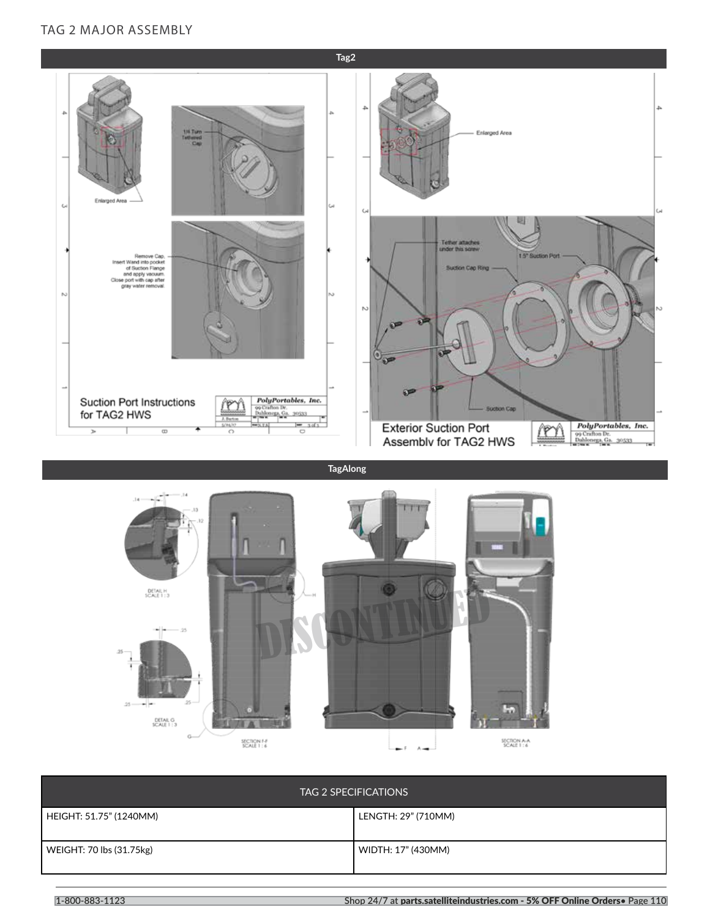## TAG 2 MAJOR ASSEMBLY



**TagAlong**



| <b>TAG 2 SPECIFICATIONS</b> |                     |
|-----------------------------|---------------------|
| HEIGHT: 51.75" (1240MM)     | LENGTH: 29" (710MM) |
| WEIGHT: 70 lbs $(31.75kg)$  | WIDTH: 17" (430MM)  |